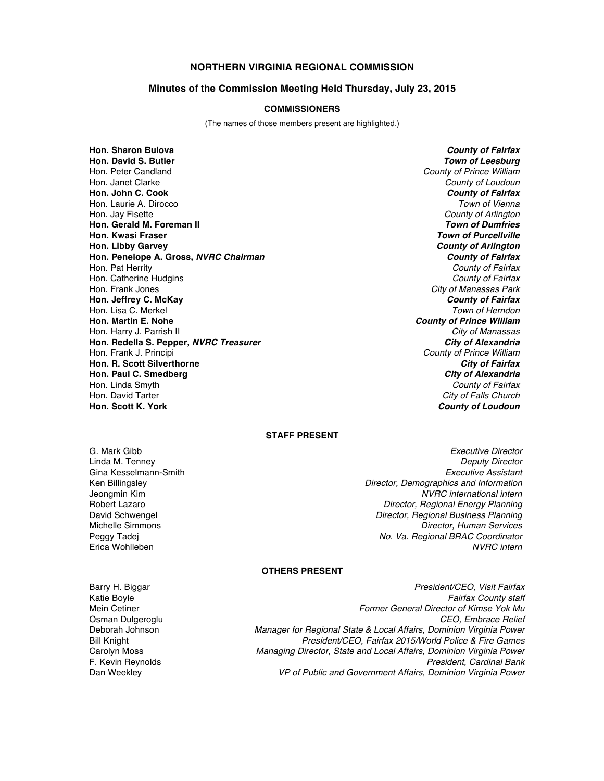# **NORTHERN VIRGINIA REGIONAL COMMISSION**

### **Minutes of the Commission Meeting Held Thursday, July 23, 2015**

### **COMMISSIONERS**

(The names of those members present are highlighted.)

**Hon. Sharon Bulova** *County of Fairfax* **Hon. David S. Butler** *Town of Leesburg* Hon. Peter Candland *County of Prince William* Hon. Janet Clarke *County of Loudoun* **Hon. John C. Cook** *County of Fairfax* Hon. Laurie A. Dirocco *Town of Vienna* Hon. Jay Fisette *County of Arlington* **Hon. Gerald M. Foreman II Hon. Kwasi Fraser** *Town of Purcellville* **Hon. Libby Garvey** *County of Arlington* **Hon. Penelope A. Gross,** *NVRC Chairman County of Fairfax* Hon. Pat Herrity *County of Fairfax* Hon. Catherine Hudgins *County of Fairfax* Hon. Frank Jones *City of Manassas Park* **Hon. Jeffrey C. McKay** *County of Fairfax* Hon. Lisa C. Merkel *Town of Herndon* Hon. Harry J. Parrish II *City of Manassas* **Hon. Redella S. Pepper,** *NVRC Treasurer* Hon. Frank J. Principi *County of Prince William* **Hon. R. Scott Silverthorne** *City of Fairfax* **Hon. Paul C. Smedberg** *City of Alexandria* Hon. Linda Smyth *County of Fairfax* Hon. David Tarter *City of Falls Church*

**County of Prince William County of Loudoun** 

## **STAFF PRESENT**

Gina Kesselmann-Smith Erica Wohlleben

G. Mark Gibb *Executive Director* Linda M. Tenney *Deputy Director* Ken Billingsley *Director, Demographics and Information* Jeongmin Kim *NVRC international intern* **Director, Regional Energy Planning** David Schwengel *Director, Regional Business Planning* Michelle Simmons *Director, Human Services* Peggy Tadej *No. Va. Regional BRAC Coordinator*

## **OTHERS PRESENT**

Barry H. Biggar *President/CEO, Visit Fairfax*

Katie Boyle *Fairfax County staff* Mein Cetiner *Former General Director of Kimse Yok Mu* Osman Dulgeroglu *CEO, Embrace Relief* Deborah Johnson *Manager for Regional State & Local Affairs, Dominion Virginia Power* Bill Knight *President/CEO, Fairfax 2015/World Police & Fire Games* Carolyn Moss *Managing Director, State and Local Affairs, Dominion Virginia Power* F. Kevin Reynolds *President, Cardinal Bank* VP of Public and Government Affairs, Dominion Virginia Power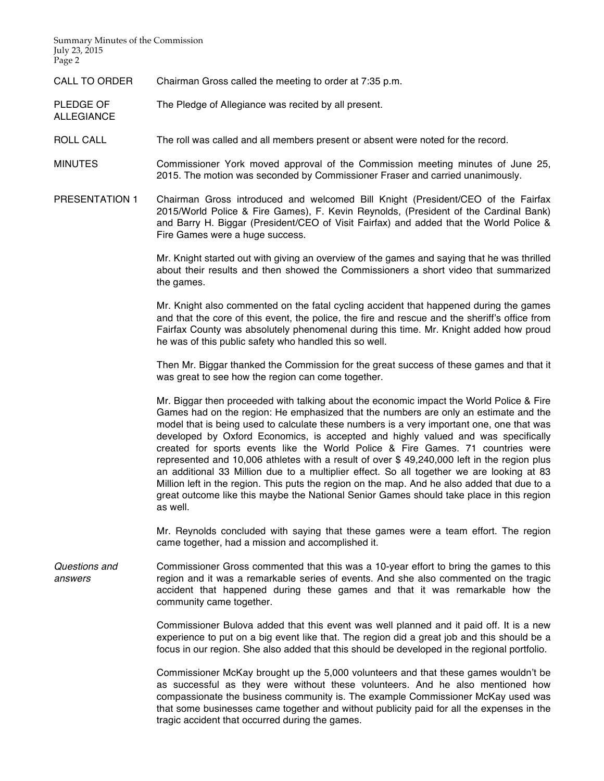Summary Minutes of the Commission July 23, 2015 Page 2

ALLEGIANCE

CALL TO ORDER Chairman Gross called the meeting to order at 7:35 p.m.

PLEDGE OF The Pledge of Allegiance was recited by all present.

ROLL CALL The roll was called and all members present or absent were noted for the record.

MINUTES Commissioner York moved approval of the Commission meeting minutes of June 25, 2015. The motion was seconded by Commissioner Fraser and carried unanimously.

PRESENTATION 1 Chairman Gross introduced and welcomed Bill Knight (President/CEO of the Fairfax 2015/World Police & Fire Games), F. Kevin Reynolds, (President of the Cardinal Bank) and Barry H. Biggar (President/CEO of Visit Fairfax) and added that the World Police & Fire Games were a huge success.

> Mr. Knight started out with giving an overview of the games and saying that he was thrilled about their results and then showed the Commissioners a short video that summarized the games.

> Mr. Knight also commented on the fatal cycling accident that happened during the games and that the core of this event, the police, the fire and rescue and the sheriff's office from Fairfax County was absolutely phenomenal during this time. Mr. Knight added how proud he was of this public safety who handled this so well.

> Then Mr. Biggar thanked the Commission for the great success of these games and that it was great to see how the region can come together.

> Mr. Biggar then proceeded with talking about the economic impact the World Police & Fire Games had on the region: He emphasized that the numbers are only an estimate and the model that is being used to calculate these numbers is a very important one, one that was developed by Oxford Economics, is accepted and highly valued and was specifically created for sports events like the World Police & Fire Games. 71 countries were represented and 10,006 athletes with a result of over \$ 49,240,000 left in the region plus an additional 33 Million due to a multiplier effect. So all together we are looking at 83 Million left in the region. This puts the region on the map. And he also added that due to a great outcome like this maybe the National Senior Games should take place in this region as well.

> Mr. Reynolds concluded with saying that these games were a team effort. The region came together, had a mission and accomplished it.

*Questions and answers* Commissioner Gross commented that this was a 10-year effort to bring the games to this region and it was a remarkable series of events. And she also commented on the tragic accident that happened during these games and that it was remarkable how the community came together.

> Commissioner Bulova added that this event was well planned and it paid off. It is a new experience to put on a big event like that. The region did a great job and this should be a focus in our region. She also added that this should be developed in the regional portfolio.

> Commissioner McKay brought up the 5,000 volunteers and that these games wouldn't be as successful as they were without these volunteers. And he also mentioned how compassionate the business community is. The example Commissioner McKay used was that some businesses came together and without publicity paid for all the expenses in the tragic accident that occurred during the games.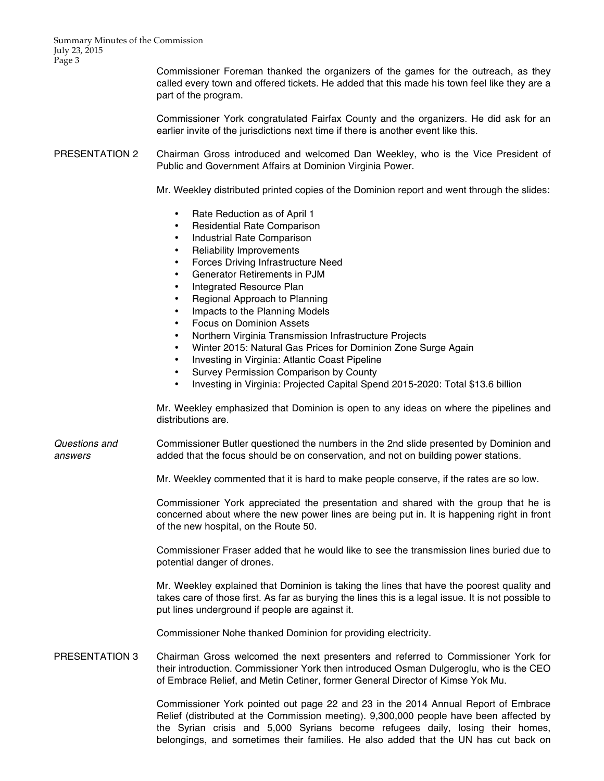Summary Minutes of the Commission July 23, 2015 Page 3

> Commissioner Foreman thanked the organizers of the games for the outreach, as they called every town and offered tickets. He added that this made his town feel like they are a part of the program.

> Commissioner York congratulated Fairfax County and the organizers. He did ask for an earlier invite of the jurisdictions next time if there is another event like this.

PRESENTATION 2 Chairman Gross introduced and welcomed Dan Weekley, who is the Vice President of Public and Government Affairs at Dominion Virginia Power.

Mr. Weekley distributed printed copies of the Dominion report and went through the slides:

- Rate Reduction as of April 1
- Residential Rate Comparison
- Industrial Rate Comparison
- Reliability Improvements
- Forces Driving Infrastructure Need
- Generator Retirements in PJM
- Integrated Resource Plan
- Regional Approach to Planning
- Impacts to the Planning Models
- Focus on Dominion Assets
- Northern Virginia Transmission Infrastructure Projects
- Winter 2015: Natural Gas Prices for Dominion Zone Surge Again
- Investing in Virginia: Atlantic Coast Pipeline
- Survey Permission Comparison by County
- Investing in Virginia: Projected Capital Spend 2015-2020: Total \$13.6 billion

Mr. Weekley emphasized that Dominion is open to any ideas on where the pipelines and distributions are.

*Questions and answers* Commissioner Butler questioned the numbers in the 2nd slide presented by Dominion and added that the focus should be on conservation, and not on building power stations.

Mr. Weekley commented that it is hard to make people conserve, if the rates are so low.

Commissioner York appreciated the presentation and shared with the group that he is concerned about where the new power lines are being put in. It is happening right in front of the new hospital, on the Route 50.

Commissioner Fraser added that he would like to see the transmission lines buried due to potential danger of drones.

Mr. Weekley explained that Dominion is taking the lines that have the poorest quality and takes care of those first. As far as burying the lines this is a legal issue. It is not possible to put lines underground if people are against it.

Commissioner Nohe thanked Dominion for providing electricity.

PRESENTATION 3 Chairman Gross welcomed the next presenters and referred to Commissioner York for their introduction. Commissioner York then introduced Osman Dulgeroglu, who is the CEO of Embrace Relief, and Metin Cetiner, former General Director of Kimse Yok Mu.

> Commissioner York pointed out page 22 and 23 in the 2014 Annual Report of Embrace Relief (distributed at the Commission meeting). 9,300,000 people have been affected by the Syrian crisis and 5,000 Syrians become refugees daily, losing their homes, belongings, and sometimes their families. He also added that the UN has cut back on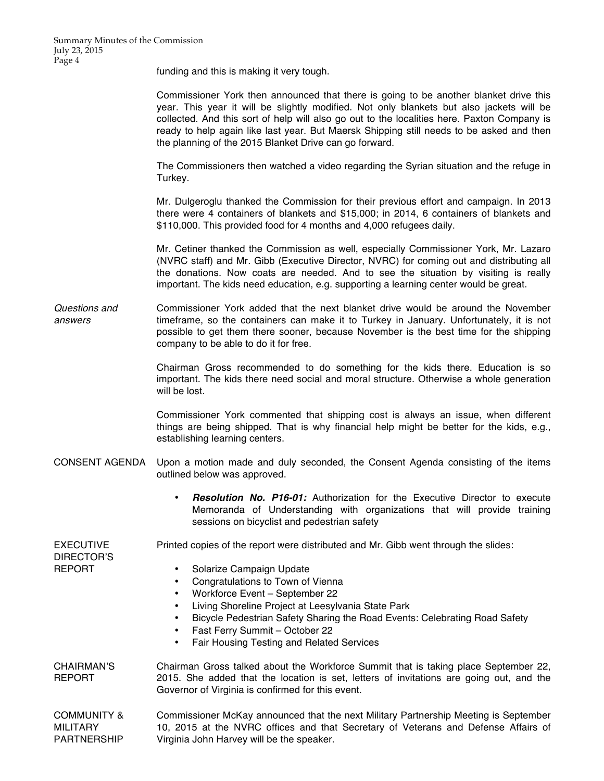funding and this is making it very tough.

Commissioner York then announced that there is going to be another blanket drive this year. This year it will be slightly modified. Not only blankets but also jackets will be collected. And this sort of help will also go out to the localities here. Paxton Company is ready to help again like last year. But Maersk Shipping still needs to be asked and then the planning of the 2015 Blanket Drive can go forward.

The Commissioners then watched a video regarding the Syrian situation and the refuge in Turkey.

Mr. Dulgeroglu thanked the Commission for their previous effort and campaign. In 2013 there were 4 containers of blankets and \$15,000; in 2014, 6 containers of blankets and \$110,000. This provided food for 4 months and 4,000 refugees daily.

Mr. Cetiner thanked the Commission as well, especially Commissioner York, Mr. Lazaro (NVRC staff) and Mr. Gibb (Executive Director, NVRC) for coming out and distributing all the donations. Now coats are needed. And to see the situation by visiting is really important. The kids need education, e.g. supporting a learning center would be great.

*Questions and answers* Commissioner York added that the next blanket drive would be around the November timeframe, so the containers can make it to Turkey in January. Unfortunately, it is not possible to get them there sooner, because November is the best time for the shipping company to be able to do it for free.

> Chairman Gross recommended to do something for the kids there. Education is so important. The kids there need social and moral structure. Otherwise a whole generation will be lost.

> Commissioner York commented that shipping cost is always an issue, when different things are being shipped. That is why financial help might be better for the kids, e.g., establishing learning centers.

- CONSENT AGENDA Upon a motion made and duly seconded, the Consent Agenda consisting of the items outlined below was approved.
	- *Resolution No. P16-01:* Authorization for the Executive Director to execute Memoranda of Understanding with organizations that will provide training sessions on bicyclist and pedestrian safety

EXECUTIVE DIRECTOR'S REPORT Printed copies of the report were distributed and Mr. Gibb went through the slides: • Solarize Campaign Update • Congratulations to Town of Vienna • Workforce Event – September 22 • Living Shoreline Project at Leesylvania State Park • Bicycle Pedestrian Safety Sharing the Road Events: Celebrating Road Safety • Fast Ferry Summit – October 22 • Fair Housing Testing and Related Services

CHAIRMAN'S REPORT Chairman Gross talked about the Workforce Summit that is taking place September 22, 2015. She added that the location is set, letters of invitations are going out, and the Governor of Virginia is confirmed for this event.

COMMUNITY & MILITARY PARTNERSHIP Commissioner McKay announced that the next Military Partnership Meeting is September 10, 2015 at the NVRC offices and that Secretary of Veterans and Defense Affairs of Virginia John Harvey will be the speaker.